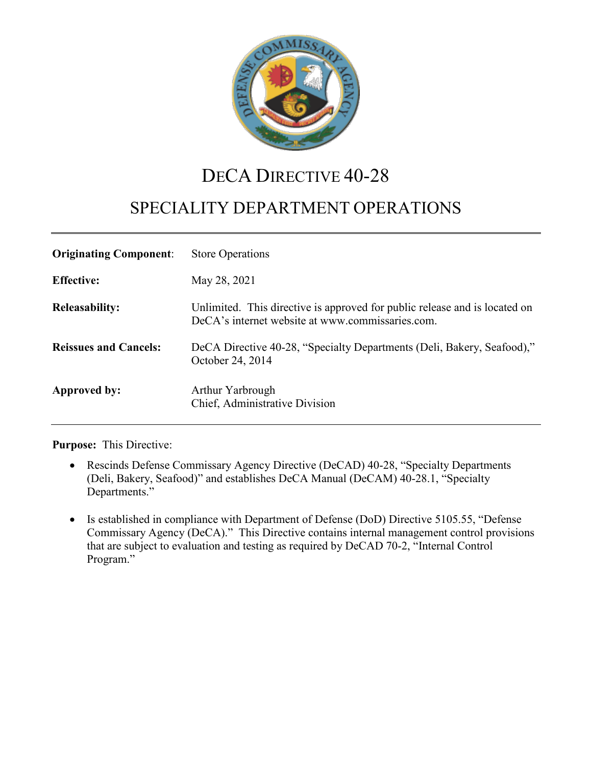

# DECA DIRECTIVE 40-28

# SPECIALITY DEPARTMENT OPERATIONS

| <b>Originating Component:</b> | <b>Store Operations</b>                                                                                                        |
|-------------------------------|--------------------------------------------------------------------------------------------------------------------------------|
| <b>Effective:</b>             | May 28, 2021                                                                                                                   |
| <b>Releasability:</b>         | Unlimited. This directive is approved for public release and is located on<br>DeCA's internet website at www.commissaries.com. |
| <b>Reissues and Cancels:</b>  | DeCA Directive 40-28, "Specialty Departments (Deli, Bakery, Seafood),"<br>October 24, 2014                                     |
| Approved by:                  | Arthur Yarbrough<br>Chief, Administrative Division                                                                             |

**Purpose:** This Directive:

- Rescinds Defense Commissary Agency Directive (DeCAD) 40-28, "Specialty Departments (Deli, Bakery, Seafood)" and establishes DeCA Manual (DeCAM) 40-28.1, "Specialty Departments."
- Is established in compliance with Department of Defense (DoD) Directive 5105.55, "Defense Commissary Agency (DeCA)." This Directive contains internal management control provisions that are subject to evaluation and testing as required by DeCAD 70-2, "Internal Control Program."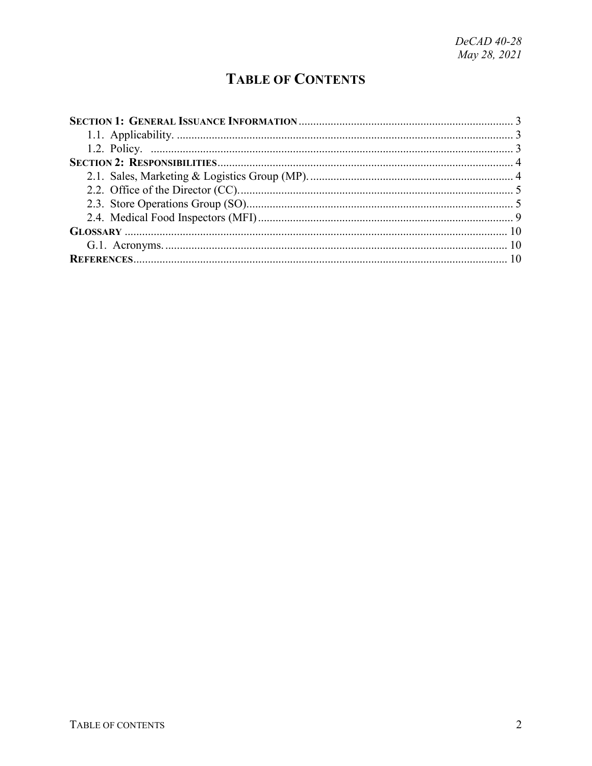## **TABLE OF CONTENTS**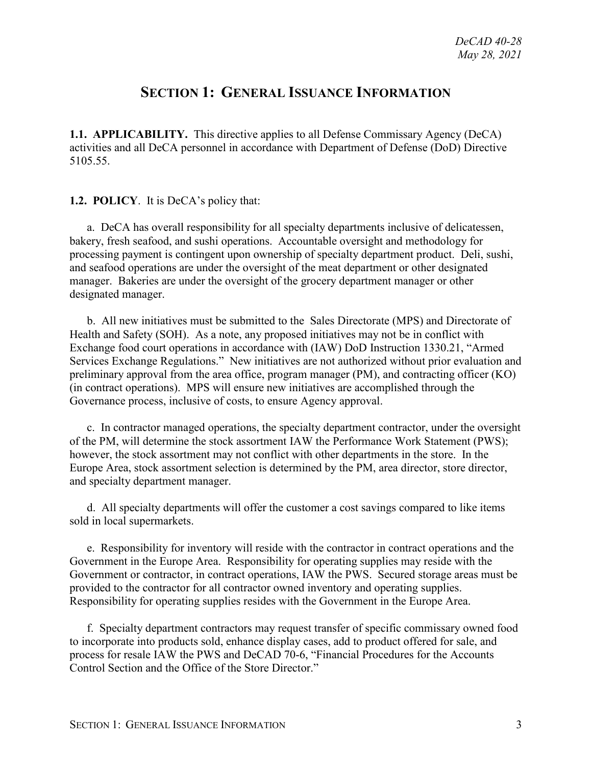## **SECTION 1: GENERAL ISSUANCE INFORMATION**

<span id="page-2-1"></span><span id="page-2-0"></span>**1.1. APPLICABILITY.** This directive applies to all Defense Commissary Agency (DeCA) activities and all DeCA personnel in accordance with Department of Defense (DoD) Directive 5105.55.

#### <span id="page-2-2"></span>**1.2. POLICY**. It is DeCA's policy that:

a. DeCA has overall responsibility for all specialty departments inclusive of delicatessen, bakery, fresh seafood, and sushi operations. Accountable oversight and methodology for processing payment is contingent upon ownership of specialty department product. Deli, sushi, and seafood operations are under the oversight of the meat department or other designated manager. Bakeries are under the oversight of the grocery department manager or other designated manager.

b. All new initiatives must be submitted to the Sales Directorate (MPS) and Directorate of Health and Safety (SOH). As a note, any proposed initiatives may not be in conflict with Exchange food court operations in accordance with (IAW) DoD Instruction 1330.21, "Armed Services Exchange Regulations." New initiatives are not authorized without prior evaluation and preliminary approval from the area office, program manager (PM), and contracting officer (KO) (in contract operations). MPS will ensure new initiatives are accomplished through the Governance process, inclusive of costs, to ensure Agency approval.

c. In contractor managed operations, the specialty department contractor, under the oversight of the PM, will determine the stock assortment IAW the Performance Work Statement (PWS); however, the stock assortment may not conflict with other departments in the store. In the Europe Area, stock assortment selection is determined by the PM, area director, store director, and specialty department manager.

d. All specialty departments will offer the customer a cost savings compared to like items sold in local supermarkets.

e. Responsibility for inventory will reside with the contractor in contract operations and the Government in the Europe Area. Responsibility for operating supplies may reside with the Government or contractor, in contract operations, IAW the PWS. Secured storage areas must be provided to the contractor for all contractor owned inventory and operating supplies. Responsibility for operating supplies resides with the Government in the Europe Area.

f. Specialty department contractors may request transfer of specific commissary owned food to incorporate into products sold, enhance display cases, add to product offered for sale, and process for resale IAW the PWS and DeCAD 70-6, "Financial Procedures for the Accounts Control Section and the Office of the Store Director."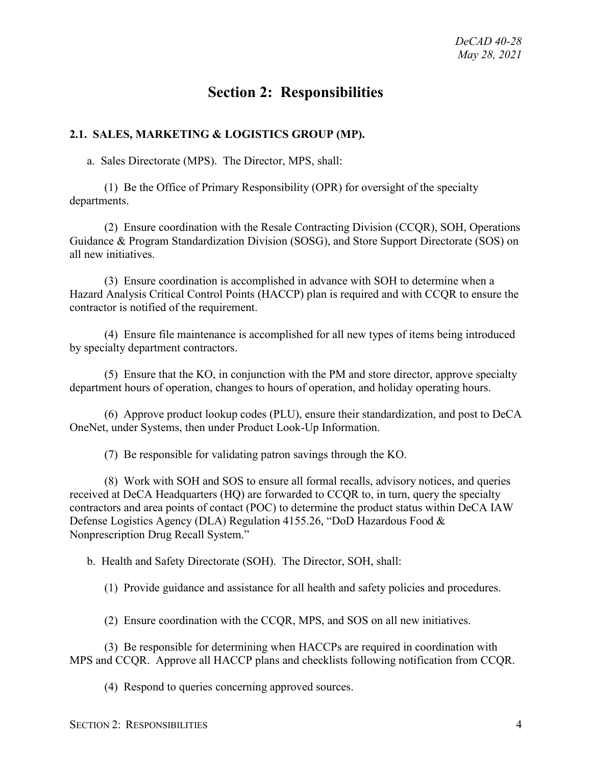## **Section 2: Responsibilities**

#### <span id="page-3-1"></span><span id="page-3-0"></span>**2.1. SALES, MARKETING & LOGISTICS GROUP (MP).**

a. Sales Directorate (MPS). The Director, MPS, shall:

(1) Be the Office of Primary Responsibility (OPR) for oversight of the specialty departments.

(2) Ensure coordination with the Resale Contracting Division (CCQR), SOH, Operations Guidance & Program Standardization Division (SOSG), and Store Support Directorate (SOS) on all new initiatives.

(3) Ensure coordination is accomplished in advance with SOH to determine when a Hazard Analysis Critical Control Points (HACCP) plan is required and with CCQR to ensure the contractor is notified of the requirement.

(4) Ensure file maintenance is accomplished for all new types of items being introduced by specialty department contractors.

(5) Ensure that the KO, in conjunction with the PM and store director, approve specialty department hours of operation, changes to hours of operation, and holiday operating hours.

(6) Approve product lookup codes (PLU), ensure their standardization, and post to DeCA OneNet, under Systems, then under Product Look-Up Information.

(7) Be responsible for validating patron savings through the KO.

(8) Work with SOH and SOS to ensure all formal recalls, advisory notices, and queries received at DeCA Headquarters (HQ) are forwarded to CCQR to, in turn, query the specialty contractors and area points of contact (POC) to determine the product status within DeCA IAW Defense Logistics Agency (DLA) Regulation 4155.26, "DoD Hazardous Food & Nonprescription Drug Recall System."

b. Health and Safety Directorate (SOH). The Director, SOH, shall:

(1) Provide guidance and assistance for all health and safety policies and procedures.

(2) Ensure coordination with the CCQR, MPS, and SOS on all new initiatives.

(3) Be responsible for determining when HACCPs are required in coordination with MPS and CCQR. Approve all HACCP plans and checklists following notification from CCQR.

(4) Respond to queries concerning approved sources.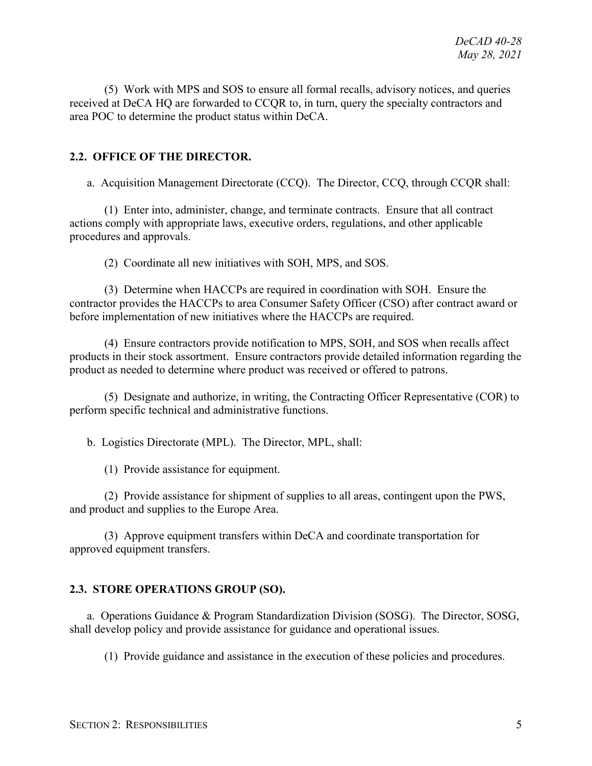(5) Work with MPS and SOS to ensure all formal recalls, advisory notices, and queries received at DeCA HQ are forwarded to CCQR to, in turn, query the specialty contractors and area POC to determine the product status within DeCA.

#### <span id="page-4-0"></span>**2.2. OFFICE OF THE DIRECTOR.**

a. Acquisition Management Directorate (CCQ). The Director, CCQ, through CCQR shall:

(1) Enter into, administer, change, and terminate contracts. Ensure that all contract actions comply with appropriate laws, executive orders, regulations, and other applicable procedures and approvals.

(2) Coordinate all new initiatives with SOH, MPS, and SOS.

(3) Determine when HACCPs are required in coordination with SOH. Ensure the contractor provides the HACCPs to area Consumer Safety Officer (CSO) after contract award or before implementation of new initiatives where the HACCPs are required.

(4) Ensure contractors provide notification to MPS, SOH, and SOS when recalls affect products in their stock assortment. Ensure contractors provide detailed information regarding the product as needed to determine where product was received or offered to patrons.

(5) Designate and authorize, in writing, the Contracting Officer Representative (COR) to perform specific technical and administrative functions.

b.Logistics Directorate (MPL). The Director, MPL, shall:

(1) Provide assistance for equipment.

(2) Provide assistance for shipment of supplies to all areas, contingent upon the PWS, and product and supplies to the Europe Area.

(3) Approve equipment transfers within DeCA and coordinate transportation for approved equipment transfers.

#### <span id="page-4-1"></span>**2.3. STORE OPERATIONS GROUP (SO).**

a. Operations Guidance & Program Standardization Division (SOSG). The Director, SOSG, shall develop policy and provide assistance for guidance and operational issues.

(1) Provide guidance and assistance in the execution of these policies and procedures.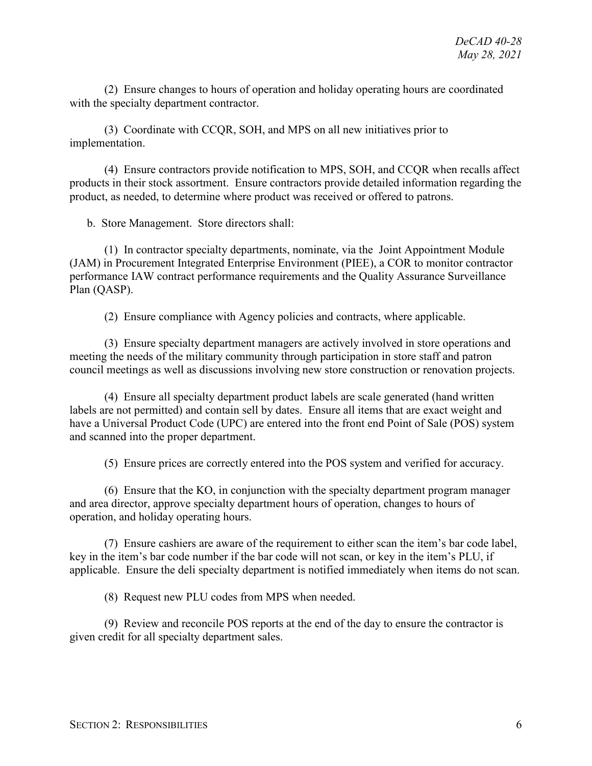(2) Ensure changes to hours of operation and holiday operating hours are coordinated with the specialty department contractor.

(3) Coordinate with CCQR, SOH, and MPS on all new initiatives prior to implementation.

(4) Ensure contractors provide notification to MPS, SOH, and CCQR when recalls affect products in their stock assortment. Ensure contractors provide detailed information regarding the product, as needed, to determine where product was received or offered to patrons.

b. Store Management. Store directors shall:

(1) In contractor specialty departments, nominate, via the Joint Appointment Module (JAM) in Procurement Integrated Enterprise Environment (PIEE), a COR to monitor contractor performance IAW contract performance requirements and the Quality Assurance Surveillance Plan (QASP).

(2) Ensure compliance with Agency policies and contracts, where applicable.

(3) Ensure specialty department managers are actively involved in store operations and meeting the needs of the military community through participation in store staff and patron council meetings as well as discussions involving new store construction or renovation projects.

(4) Ensure all specialty department product labels are scale generated (hand written labels are not permitted) and contain sell by dates. Ensure all items that are exact weight and have a Universal Product Code (UPC) are entered into the front end Point of Sale (POS) system and scanned into the proper department.

(5) Ensure prices are correctly entered into the POS system and verified for accuracy.

(6) Ensure that the KO, in conjunction with the specialty department program manager and area director, approve specialty department hours of operation, changes to hours of operation, and holiday operating hours.

(7) Ensure cashiers are aware of the requirement to either scan the item's bar code label, key in the item's bar code number if the bar code will not scan, or key in the item's PLU, if applicable. Ensure the deli specialty department is notified immediately when items do not scan.

(8) Request new PLU codes from MPS when needed.

(9) Review and reconcile POS reports at the end of the day to ensure the contractor is given credit for all specialty department sales.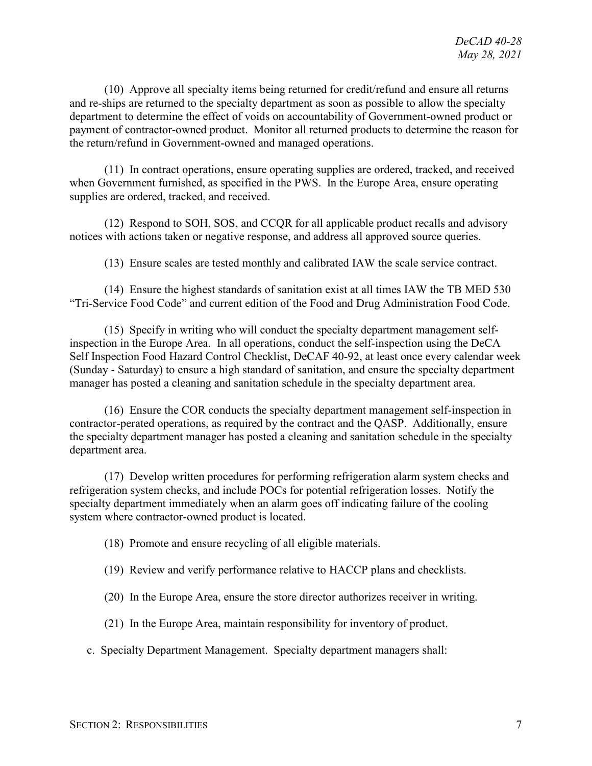(10) Approve all specialty items being returned for credit/refund and ensure all returns and re-ships are returned to the specialty department as soon as possible to allow the specialty department to determine the effect of voids on accountability of Government-owned product or payment of contractor-owned product. Monitor all returned products to determine the reason for the return/refund in Government-owned and managed operations.

(11) In contract operations, ensure operating supplies are ordered, tracked, and received when Government furnished, as specified in the PWS. In the Europe Area, ensure operating supplies are ordered, tracked, and received.

(12) Respond to SOH, SOS, and CCQR for all applicable product recalls and advisory notices with actions taken or negative response, and address all approved source queries.

(13) Ensure scales are tested monthly and calibrated IAW the scale service contract.

(14) Ensure the highest standards of sanitation exist at all times IAW the TB MED 530 "Tri-Service Food Code" and current edition of the Food and Drug Administration Food Code.

(15) Specify in writing who will conduct the specialty department management selfinspection in the Europe Area. In all operations, conduct the self-inspection using the DeCA Self Inspection Food Hazard Control Checklist, DeCAF 40-92, at least once every calendar week (Sunday - Saturday) to ensure a high standard of sanitation, and ensure the specialty department manager has posted a cleaning and sanitation schedule in the specialty department area.

(16) Ensure the COR conducts the specialty department management self-inspection in contractor-perated operations, as required by the contract and the QASP. Additionally, ensure the specialty department manager has posted a cleaning and sanitation schedule in the specialty department area.

(17) Develop written procedures for performing refrigeration alarm system checks and refrigeration system checks, and include POCs for potential refrigeration losses. Notify the specialty department immediately when an alarm goes off indicating failure of the cooling system where contractor-owned product is located.

(18) Promote and ensure recycling of all eligible materials.

- (19) Review and verify performance relative to HACCP plans and checklists.
- (20) In the Europe Area, ensure the store director authorizes receiver in writing.
- (21) In the Europe Area, maintain responsibility for inventory of product.
- c. Specialty Department Management. Specialty department managers shall: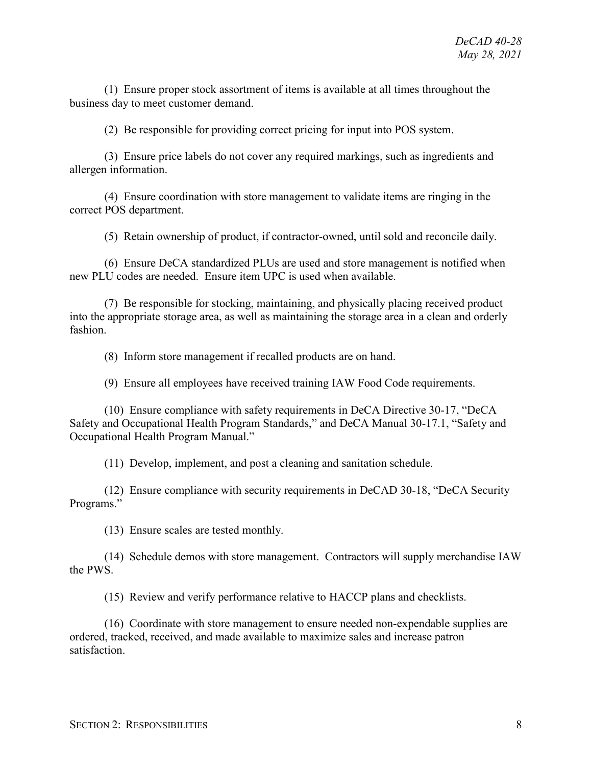(1) Ensure proper stock assortment of items is available at all times throughout the business day to meet customer demand.

(2) Be responsible for providing correct pricing for input into POS system.

(3) Ensure price labels do not cover any required markings, such as ingredients and allergen information.

(4) Ensure coordination with store management to validate items are ringing in the correct POS department.

(5) Retain ownership of product, if contractor-owned, until sold and reconcile daily.

(6) Ensure DeCA standardized PLUs are used and store management is notified when new PLU codes are needed. Ensure item UPC is used when available.

(7) Be responsible for stocking, maintaining, and physically placing received product into the appropriate storage area, as well as maintaining the storage area in a clean and orderly fashion.

(8) Inform store management if recalled products are on hand.

(9) Ensure all employees have received training IAW Food Code requirements.

(10) Ensure compliance with safety requirements in DeCA Directive 30-17, "DeCA Safety and Occupational Health Program Standards," and DeCA Manual 30-17.1, "Safety and Occupational Health Program Manual."

(11) Develop, implement, and post a cleaning and sanitation schedule.

(12) Ensure compliance with security requirements in DeCAD 30-18, "DeCA Security Programs."

(13) Ensure scales are tested monthly.

(14) Schedule demos with store management. Contractors will supply merchandise IAW the PWS.

(15) Review and verify performance relative to HACCP plans and checklists.

(16) Coordinate with store management to ensure needed non-expendable supplies are ordered, tracked, received, and made available to maximize sales and increase patron satisfaction.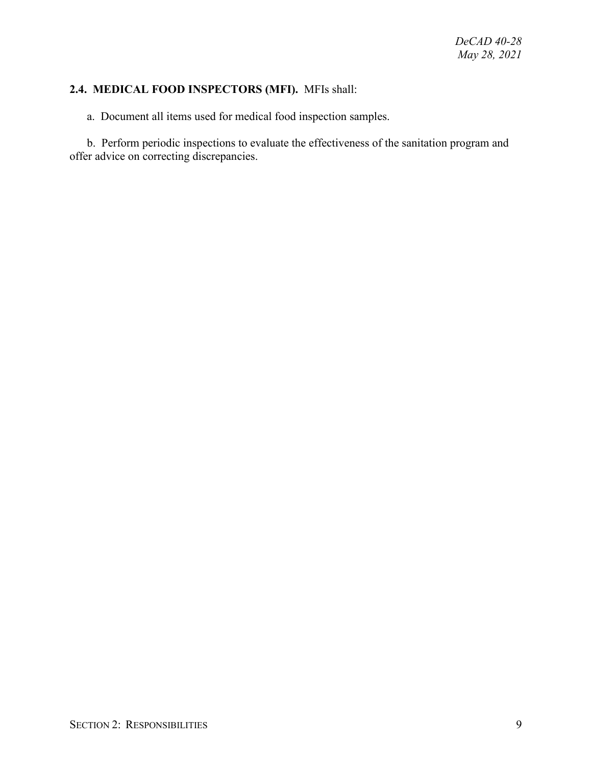#### <span id="page-8-0"></span>**2.4. MEDICAL FOOD INSPECTORS (MFI).** MFIs shall:

a. Document all items used for medical food inspection samples.

b. Perform periodic inspections to evaluate the effectiveness of the sanitation program and offer advice on correcting discrepancies.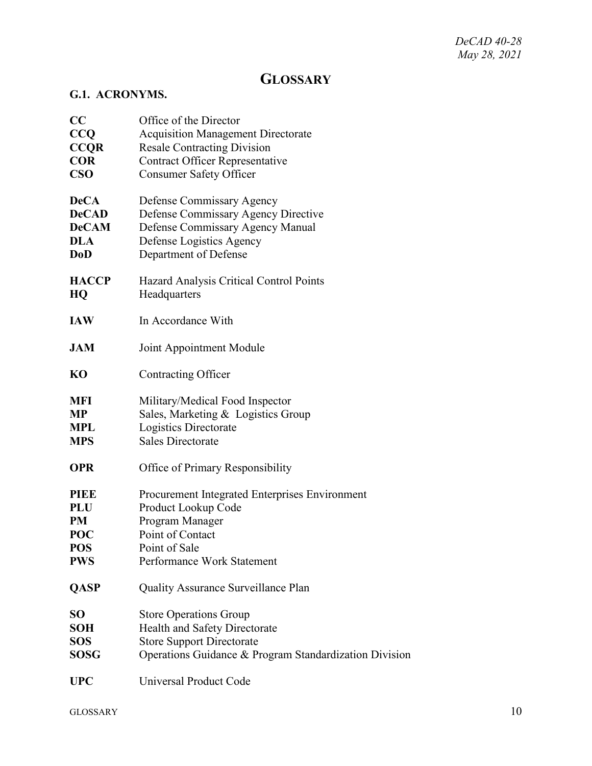*DeCAD 40-28 May 28, 2021*

## **GLOSSARY**

#### <span id="page-9-1"></span><span id="page-9-0"></span>**G.1. ACRONYMS.**

<span id="page-9-2"></span>

| CC           | Office of the Director                                 |
|--------------|--------------------------------------------------------|
| CCQ          | <b>Acquisition Management Directorate</b>              |
| <b>CCQR</b>  | <b>Resale Contracting Division</b>                     |
| <b>COR</b>   | <b>Contract Officer Representative</b>                 |
| $\bf CSO$    | <b>Consumer Safety Officer</b>                         |
| <b>DeCA</b>  | Defense Commissary Agency                              |
| <b>DeCAD</b> | Defense Commissary Agency Directive                    |
| <b>DeCAM</b> | Defense Commissary Agency Manual                       |
| <b>DLA</b>   | Defense Logistics Agency                               |
| <b>DoD</b>   | Department of Defense                                  |
| <b>HACCP</b> | Hazard Analysis Critical Control Points                |
| HQ           | Headquarters                                           |
| <b>IAW</b>   | In Accordance With                                     |
| <b>JAM</b>   | Joint Appointment Module                               |
| KO           | Contracting Officer                                    |
| MFI          | Military/Medical Food Inspector                        |
| <b>MP</b>    | Sales, Marketing & Logistics Group                     |
| <b>MPL</b>   | Logistics Directorate                                  |
| <b>MPS</b>   | <b>Sales Directorate</b>                               |
| <b>OPR</b>   | Office of Primary Responsibility                       |
| <b>PIEE</b>  | Procurement Integrated Enterprises Environment         |
| <b>PLU</b>   | Product Lookup Code                                    |
| PM           | Program Manager                                        |
| <b>POC</b>   | Point of Contact                                       |
| <b>POS</b>   | Point of Sale                                          |
| <b>PWS</b>   | Performance Work Statement                             |
| <b>QASP</b>  | Quality Assurance Surveillance Plan                    |
| <b>SO</b>    | <b>Store Operations Group</b>                          |
| SOH          | Health and Safety Directorate                          |
| <b>SOS</b>   | <b>Store Support Directorate</b>                       |
| SOSG         | Operations Guidance & Program Standardization Division |
| <b>UPC</b>   | Universal Product Code                                 |